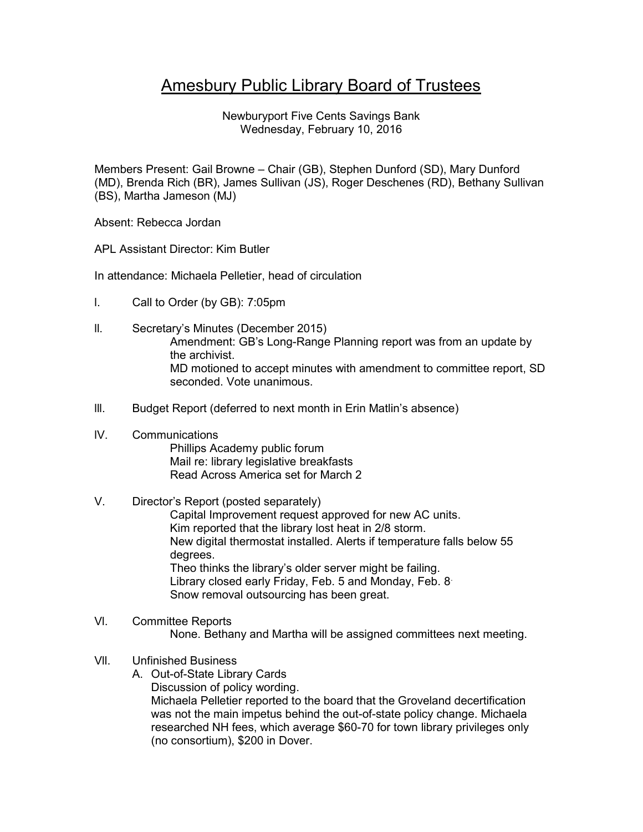# Amesbury Public Library Board of Trustees

Newburyport Five Cents Savings Bank Wednesday, February 10, 2016

Members Present: Gail Browne – Chair (GB), Stephen Dunford (SD), Mary Dunford (MD), Brenda Rich (BR), James Sullivan (JS), Roger Deschenes (RD), Bethany Sullivan (BS), Martha Jameson (MJ)

Absent: Rebecca Jordan

APL Assistant Director: Kim Butler

In attendance: Michaela Pelletier, head of circulation

- l. Call to Order (by GB): 7:05pm
- ll. Secretary's Minutes (December 2015) Amendment: GB's Long-Range Planning report was from an update by the archivist. MD motioned to accept minutes with amendment to committee report, SD seconded. Vote unanimous.
- III. Budget Report (deferred to next month in Erin Matlin's absence)

## lV. Communications

 Phillips Academy public forum Mail re: library legislative breakfasts Read Across America set for March 2

## V. Director's Report (posted separately)

 Capital Improvement request approved for new AC units. Kim reported that the library lost heat in 2/8 storm. New digital thermostat installed. Alerts if temperature falls below 55 degrees. Theo thinks the library's older server might be failing. Library closed early Friday, Feb. 5 and Monday, Feb. 8. Snow removal outsourcing has been great.

#### Vl. Committee Reports None. Bethany and Martha will be assigned committees next meeting.

### Vll. Unfinished Business

- A. Out-of-State Library Cards
	- Discussion of policy wording.

Michaela Pelletier reported to the board that the Groveland decertification was not the main impetus behind the out-of-state policy change. Michaela researched NH fees, which average \$60-70 for town library privileges only (no consortium), \$200 in Dover.